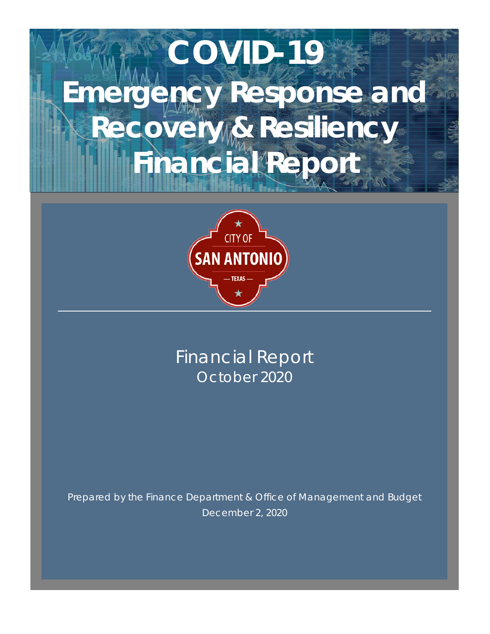# **COVID-19 Emergency Response and Recovery & Resiliency Financial Report**



Financial Report October 2020

Prepared by the Finance Department & Office of Management and Budget December 2, 2020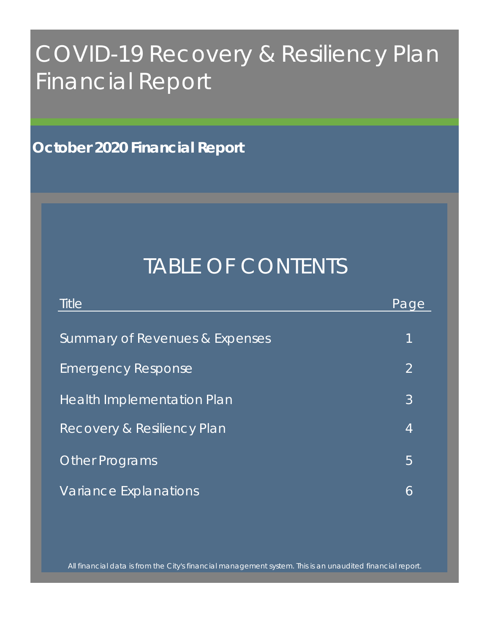## COVID-19 Recovery & Resiliency Plan Financial Report

**October 2020 Financial Report**

### TABLE OF CONTENTS

| <b>Title</b>                          | Page           |
|---------------------------------------|----------------|
| Summary of Revenues & Expenses        | 1              |
| <b>Emergency Response</b>             | $\overline{2}$ |
| <b>Health Implementation Plan</b>     | 3              |
| <b>Recovery &amp; Resiliency Plan</b> | 4              |
| <b>Other Programs</b>                 | 5              |
| Variance Explanations                 | 6              |

All financial data is from the City's financial management system. This is an unaudited financial report.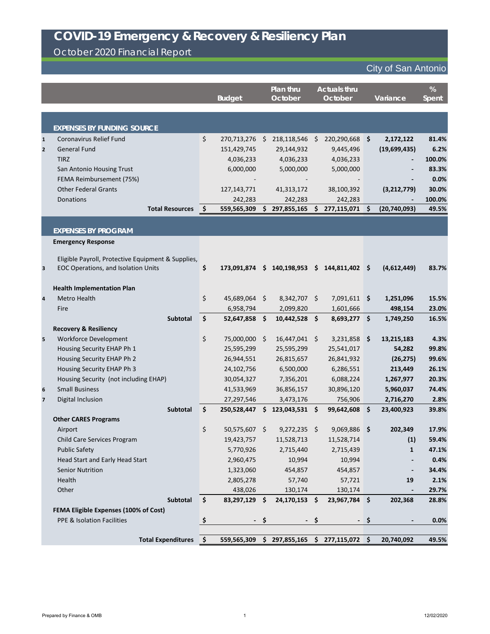October 2020 Financial Report

|                |                                                    | <b>Budget</b>               |    | Plan thru<br>October     |               | <b>Actuals thru</b><br>October |     | Variance                                | %<br><b>Spent</b> |
|----------------|----------------------------------------------------|-----------------------------|----|--------------------------|---------------|--------------------------------|-----|-----------------------------------------|-------------------|
|                |                                                    |                             |    |                          |               |                                |     |                                         |                   |
|                | <b>EXPENSES BY FUNDING SOURCE</b>                  |                             |    |                          |               |                                |     |                                         |                   |
| $\mathbf{1}$   | Coronavirus Relief Fund                            | \$<br>270,713,276           | Ŝ. | 218,118,546              | - \$          | $220,290,668$ \$               |     | 2,172,122                               | 81.4%             |
| $\mathbf{2}$   | <b>General Fund</b>                                | 151,429,745                 |    | 29,144,932               |               | 9,445,496                      |     | (19,699,435)                            | 6.2%              |
|                | <b>TIRZ</b>                                        | 4,036,233                   |    | 4,036,233                |               | 4,036,233                      |     |                                         | 100.0%            |
|                | San Antonio Housing Trust                          | 6,000,000                   |    | 5,000,000                |               | 5,000,000                      |     |                                         | 83.3%             |
|                | FEMA Reimbursement (75%)                           |                             |    |                          |               |                                |     |                                         | 0.0%              |
|                | <b>Other Federal Grants</b>                        | 127, 143, 771               |    | 41, 313, 172             |               | 38,100,392                     |     | (3, 212, 779)                           | 30.0%             |
|                | Donations                                          | 242,283                     |    | 242,283                  |               | 242,283                        |     |                                         | 100.0%            |
|                | <b>Total Resources</b>                             | \$<br>559,565,309           | \$ | 297,855,165              | S.            | 277,115,071 \$                 |     | (20, 740, 093)                          | 49.5%             |
|                | <b>EXPENSES BY PROGRAM</b>                         |                             |    |                          |               |                                |     |                                         |                   |
|                | <b>Emergency Response</b>                          |                             |    |                          |               |                                |     |                                         |                   |
|                |                                                    |                             |    |                          |               |                                |     |                                         |                   |
|                | Eligible Payroll, Protective Equipment & Supplies, |                             |    |                          |               |                                |     |                                         |                   |
| 3              | EOC Operations, and Isolation Units                | \$<br>173,091,874           |    | \$140,198,953            |               | $$144,811,402$ \$              |     | (4,612,449)                             | 83.7%             |
|                | <b>Health Implementation Plan</b>                  |                             |    |                          |               |                                |     |                                         |                   |
| $\overline{4}$ | Metro Health                                       | \$<br>45,689,064            | \$ | 8,342,707 \$             |               | $7,091,611$ \$                 |     | 1,251,096                               | 15.5%             |
|                | Fire                                               | 6,958,794                   |    | 2,099,820                |               | 1,601,666                      |     | 498,154                                 | 23.0%             |
|                | Subtotal                                           | \$<br>52,647,858            | \$ | $10,442,528$ \$          |               | $8,693,277$ \$                 |     | 1,749,250                               | 16.5%             |
|                | <b>Recovery &amp; Resiliency</b>                   |                             |    |                          |               |                                |     |                                         |                   |
| 5              | <b>Workforce Development</b>                       | \$<br>75,000,000            | \$ | 16,447,041               | \$            | 3,231,858                      | ∣\$ | 13,215,183                              | 4.3%              |
|                | Housing Security EHAP Ph 1                         | 25,595,299                  |    | 25,595,299               |               | 25,541,017                     |     | 54,282                                  | 99.8%             |
|                | Housing Security EHAP Ph 2                         | 26,944,551                  |    | 26,815,657               |               | 26,841,932                     |     | (26, 275)                               | 99.6%             |
|                | Housing Security EHAP Ph 3                         | 24,102,756                  |    | 6,500,000                |               | 6,286,551                      |     | 213,449                                 | 26.1%             |
|                | Housing Security (not including EHAP)              | 30,054,327                  |    | 7,356,201                |               | 6,088,224                      |     | 1,267,977                               | 20.3%             |
| $6\phantom{1}$ | <b>Small Business</b>                              | 41,533,969                  |    | 36,856,157               |               | 30,896,120                     |     | 5,960,037                               | 74.4%             |
| $\overline{7}$ | Digital Inclusion                                  | 27,297,546                  |    | 3,473,176                |               | 756,906                        |     | 2,716,270                               | 2.8%              |
|                | Subtotal                                           | \$<br>250,528,447           | \$ | 123,043,531 \$           |               | 99,642,608                     | \$  | 23,400,923                              | 39.8%             |
|                | <b>Other CARES Programs</b>                        |                             |    |                          |               |                                |     |                                         |                   |
|                | Airport                                            | \$<br>50,575,607 \$         |    | $9,272,235$ \$           |               | 9,069,886 \$                   |     | 202,349                                 | 17.9%             |
|                | Child Care Services Program                        | 19,423,757                  |    | 11,528,713               |               | 11,528,714                     |     | (1)                                     | 59.4%             |
|                | <b>Public Safety</b>                               | 5,770,926                   |    | 2,715,440                |               | 2,715,439                      |     | $\mathbf{1}$                            | 47.1%             |
|                | Head Start and Early Head Start                    | 2,960,475                   |    | 10,994                   |               | 10,994                         |     |                                         | 0.4%              |
|                | <b>Senior Nutrition</b>                            | 1,323,060                   |    | 454,857                  |               | 454,857                        |     |                                         | 34.4%             |
|                | Health                                             | 2,805,278                   |    | 57,740                   |               | 57,721                         |     | 19                                      | 2.1%              |
|                | Other<br>Subtotal                                  | \$<br>438,026<br>83,297,129 | \$ | 130,174<br>24,170,153 \$ |               | 130,174<br>23,967,784 \$       |     | $\qquad \qquad \blacksquare$<br>202,368 | 29.7%<br>28.8%    |
|                | FEMA Eligible Expenses (100% of Cost)              |                             |    |                          |               |                                |     |                                         |                   |
|                | PPE & Isolation Facilities                         | \$<br>$\sim$ $-$            | \$ | $\sim$ $-$               | \$            |                                | \$  |                                         | 0.0%              |
|                |                                                    |                             |    |                          |               |                                |     |                                         |                   |
|                | <b>Total Expenditures</b>                          | \$<br>559,565,309           | \$ | 297,855,165              | $\mathsf{\$}$ | 277,115,072 \$                 |     | 20,740,092                              | 49.5%             |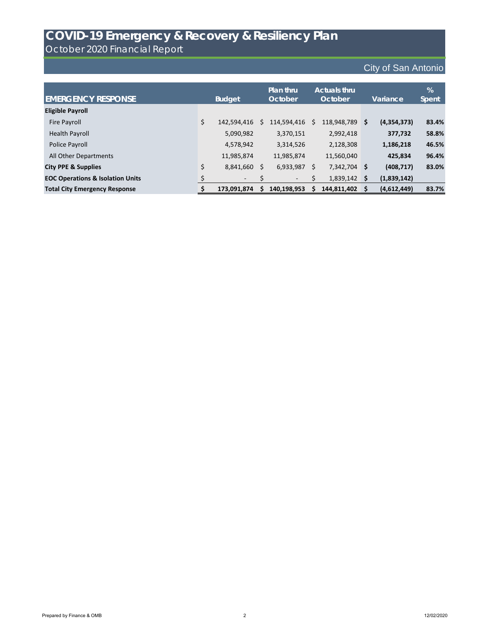October 2020 Financial Report

| <b>EMERGENCY RESPONSE</b>                   | <b>Budget</b>            |    | <b>Plan thru</b><br><b>October</b> |    | <b>Actuals thru</b><br>October | Variance   |             | %<br>Spent |
|---------------------------------------------|--------------------------|----|------------------------------------|----|--------------------------------|------------|-------------|------------|
| <b>Eligible Payroll</b>                     |                          |    |                                    |    |                                |            |             |            |
| Fire Payroll                                | \$<br>142,594,416        | S  | 114,594,416                        | S. | 118,948,789                    | $\sqrt{5}$ | (4,354,373) | 83.4%      |
| <b>Health Payroll</b>                       | 5,090,982                |    | 3,370,151                          |    | 2,992,418                      |            | 377,732     | 58.8%      |
| Police Payroll                              | 4,578,942                |    | 3,314,526                          |    | 2,128,308                      |            | 1,186,218   | 46.5%      |
| All Other Departments                       | 11,985,874               |    | 11,985,874                         |    | 11,560,040                     |            | 425,834     | 96.4%      |
| <b>City PPE &amp; Supplies</b>              | \$<br>8,841,660          | \$ | 6,933,987                          | \$ | 7,342,704 \$                   |            | (408, 717)  | 83.0%      |
| <b>EOC Operations &amp; Isolation Units</b> | $\overline{\phantom{a}}$ | \$ | -                                  |    | 1,839,142                      | ∣\$        | (1,839,142) |            |
| <b>Total City Emergency Response</b>        | 173,091,874              | S  | 140,198,953                        |    | 144,811,402                    | ∣\$        | (4,612,449) | 83.7%      |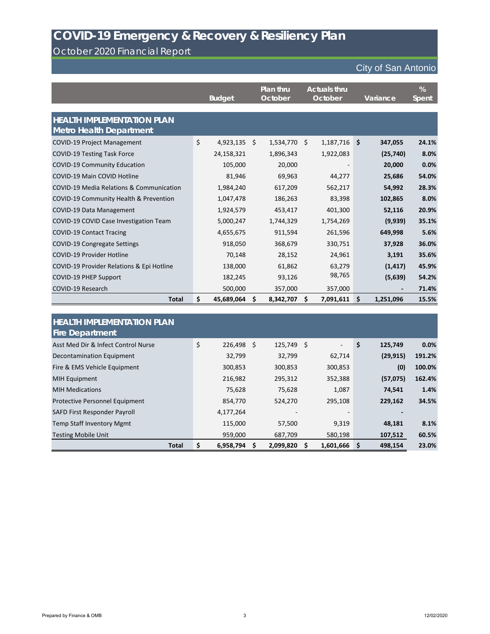### October 2020 Financial Report

|                                                                     | <b>Budget</b>    | Plan thru<br>October | <b>Actuals thru</b><br>October | Variance        | %<br><b>Spent</b> |
|---------------------------------------------------------------------|------------------|----------------------|--------------------------------|-----------------|-------------------|
| <b>HEALTH IMPLEMENTATION PLAN</b><br><b>Metro Health Department</b> |                  |                      |                                |                 |                   |
| <b>COVID-19 Project Management</b>                                  | \$<br>4,923,135  | \$<br>1,534,770      | \$<br>1,187,716                | \$<br>347,055   | 24.1%             |
| <b>COVID-19 Testing Task Force</b>                                  | 24,158,321       | 1,896,343            | 1,922,083                      | (25, 740)       | 8.0%              |
| <b>COVID-19 Community Education</b>                                 | 105,000          | 20,000               |                                | 20,000          | 0.0%              |
| <b>COVID-19 Main COVID Hotline</b>                                  | 81,946           | 69,963               | 44,277                         | 25,686          | 54.0%             |
| COVID-19 Media Relations & Communication                            | 1,984,240        | 617,209              | 562,217                        | 54,992          | 28.3%             |
| COVID-19 Community Health & Prevention                              | 1,047,478        | 186,263              | 83,398                         | 102,865         | 8.0%              |
| COVID-19 Data Management                                            | 1,924,579        | 453,417              | 401,300                        | 52,116          | 20.9%             |
| COVID-19 COVID Case Investigation Team                              | 5,000,247        | 1,744,329            | 1,754,269                      | (9,939)         | 35.1%             |
| <b>COVID-19 Contact Tracing</b>                                     | 4,655,675        | 911,594              | 261,596                        | 649,998         | 5.6%              |
| <b>COVID-19 Congregate Settings</b>                                 | 918,050          | 368,679              | 330,751                        | 37,928          | 36.0%             |
| <b>COVID-19 Provider Hotline</b>                                    | 70,148           | 28,152               | 24,961                         | 3,191           | 35.6%             |
| COVID-19 Provider Relations & Epi Hotline                           | 138,000          | 61,862               | 63,279                         | (1, 417)        | 45.9%             |
| <b>COVID-19 PHEP Support</b>                                        | 182,245          | 93,126               | 98,765                         | (5,639)         | 54.2%             |
| COVID-19 Research                                                   | 500,000          | 357,000              | 357,000                        |                 | 71.4%             |
| <b>Total</b>                                                        | \$<br>45,689,064 | \$<br>8,342,707      | \$<br>7,091,611                | \$<br>1,251,096 | 15.5%             |

| <b>HEALTH IMPLEMENTATION PLAN</b>     |                    |              |                |               |        |
|---------------------------------------|--------------------|--------------|----------------|---------------|--------|
| <b>Fire Department</b>                |                    |              |                |               |        |
| Asst Med Dir & Infect Control Nurse   | \$<br>$226,498$ \$ | $125,749$ \$ | $\blacksquare$ | \$<br>125,749 | 0.0%   |
| Decontamination Equipment             | 32,799             | 32,799       | 62,714         | (29, 915)     | 191.2% |
| Fire & EMS Vehicle Equipment          | 300,853            | 300,853      | 300,853        | (0)           | 100.0% |
| <b>MIH Equipment</b>                  | 216,982            | 295,312      | 352,388        | (57, 075)     | 162.4% |
| <b>MIH Medications</b>                | 75,628             | 75,628       | 1,087          | 74,541        | 1.4%   |
| <b>Protective Personnel Equipment</b> | 854,770            | 524,270      | 295,108        | 229,162       | 34.5%  |
| SAFD First Responder Payroll          | 4,177,264          |              |                |               |        |
| <b>Temp Staff Inventory Mgmt</b>      | 115,000            | 57,500       | 9,319          | 48,181        | 8.1%   |
| <b>Testing Mobile Unit</b>            | 959,000            | 687,709      | 580,198        | 107,512       | 60.5%  |
| <b>Total</b>                          | \$<br>6,958,794    | 2,099,820    | 1,601,666      | 498,154<br>S  | 23.0%  |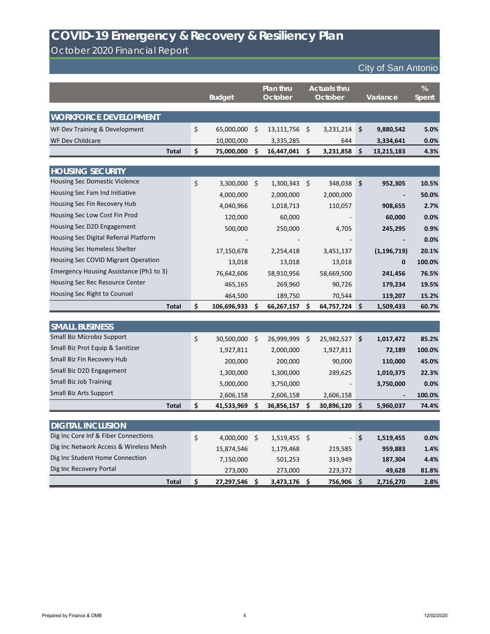October 2020 Financial Report

|                                                                       | <b>Budget</b>      |         | Plan thru<br>October | <b>Actuals thru</b><br>October |                     | Variance      | %<br><b>Spent</b> |
|-----------------------------------------------------------------------|--------------------|---------|----------------------|--------------------------------|---------------------|---------------|-------------------|
| <b>WORKFORCE DEVELOPMENT</b>                                          |                    |         |                      |                                |                     |               |                   |
| WF Dev Training & Development                                         | \$<br>65,000,000   | $\zeta$ | 13,111,756           | \$<br>3,231,214                | \$                  | 9,880,542     | 5.0%              |
| <b>WF Dev Childcare</b>                                               | 10,000,000         |         | 3,335,285            | 644                            |                     | 3,334,641     | 0.0%              |
| <b>Total</b>                                                          | \$<br>75,000,000   | \$      | 16,447,041           | \$<br>3,231,858                | \$                  | 13,215,183    | 4.3%              |
|                                                                       |                    |         |                      |                                |                     |               |                   |
| <b>HOUSING SECURITY</b><br>Housing Sec Domestic Violence              |                    |         |                      |                                |                     |               |                   |
| Housing Sec Fam Ind Initiative                                        | \$<br>3,300,000    | $\zeta$ | 1,300,343            | \$<br>348,038                  | \$                  | 952,305       | 10.5%             |
| Housing Sec Fin Recovery Hub                                          | 4,000,000          |         | 2,000,000            | 2,000,000                      |                     |               | 50.0%             |
| Housing Sec Low Cost Fin Prod                                         | 4,040,966          |         | 1,018,713            | 110,057                        |                     | 908,655       | 2.7%              |
|                                                                       | 120,000            |         | 60,000               |                                |                     | 60,000        | 0.0%              |
| Housing Sec D2D Engagement                                            | 500,000            |         | 250,000              | 4,705                          |                     | 245,295       | 0.9%              |
| Housing Sec Digital Referral Platform<br>Housing Sec Homeless Shelter |                    |         |                      |                                |                     |               | 0.0%              |
|                                                                       | 17,150,678         |         | 2,254,418            | 3,451,137                      |                     | (1, 196, 719) | 20.1%             |
| Housing Sec COVID Migrant Operation                                   | 13,018             |         | 13,018               | 13,018                         |                     | 0             | 100.0%            |
| Emergency Housing Assistance (Ph1 to 3)                               | 76,642,606         |         | 58,910,956           | 58,669,500                     |                     | 241,456       | 76.5%             |
| Housing Sec Rec Resource Center                                       | 465,165            |         | 269,960              | 90,726                         |                     | 179,234       | 19.5%             |
| Housing Sec Right to Counsel                                          | 464,500            |         | 189,750              | 70,544                         |                     | 119,207       | 15.2%             |
| <b>Total</b>                                                          | \$<br>106,696,933  | S       | 66,267,157           | \$<br>64,757,724               | \$                  | 1,509,433     | 60.7%             |
| <b>SMALL BUSINESS</b>                                                 |                    |         |                      |                                |                     |               |                   |
| Small Biz Microbiz Support                                            | \$<br>30,500,000   | $\zeta$ | 26,999,999           | \$<br>25,982,527               | \$                  | 1,017,472     | 85.2%             |
| Small Biz Prot Equip & Sanitizer                                      | 1,927,811          |         | 2,000,000            | 1,927,811                      |                     | 72,189        | 100.0%            |
| Small Biz Fin Recovery Hub                                            | 200,000            |         | 200,000              | 90,000                         |                     | 110,000       | 45.0%             |
| Small Biz D2D Engagement                                              | 1,300,000          |         | 1,300,000            | 289,625                        |                     | 1,010,375     | 22.3%             |
| <b>Small Biz Job Training</b>                                         | 5,000,000          |         | 3,750,000            |                                |                     | 3,750,000     | 0.0%              |
| <b>Small Biz Arts Support</b>                                         | 2,606,158          |         | 2,606,158            | 2,606,158                      |                     |               | 100.0%            |
| <b>Total</b>                                                          | \$<br>41,533,969   | -\$     | 36,856,157           | \$<br>30,896,120 \$            |                     | 5,960,037     | 74.4%             |
|                                                                       |                    |         |                      |                                |                     |               |                   |
| <b>DIGITAL INCLUSION</b>                                              |                    |         |                      |                                |                     |               |                   |
| Dig Inc Core Inf & Fiber Connections                                  | \$<br>4,000,000 \$ |         | $1,519,455$ \$       |                                | \$                  | 1,519,455     | 0.0%              |
| Dig Inc Network Access & Wireless Mesh                                | 15,874,546         |         | 1,179,468            | 219,585                        |                     | 959,883       | 1.4%              |
| Dig Inc Student Home Connection                                       | 7,150,000          |         | 501,253              | 313,949                        |                     | 187,304       | 4.4%              |
| Dig Inc Recovery Portal                                               | 273,000            |         | 273,000              | 223,372                        |                     | 49,628        | 81.8%             |
| <b>Total</b>                                                          | \$<br>27,297,546   | -\$     | 3,473,176            | \$<br>756,906                  | $\ddot{\bm{\zeta}}$ | 2,716,270     | 2.8%              |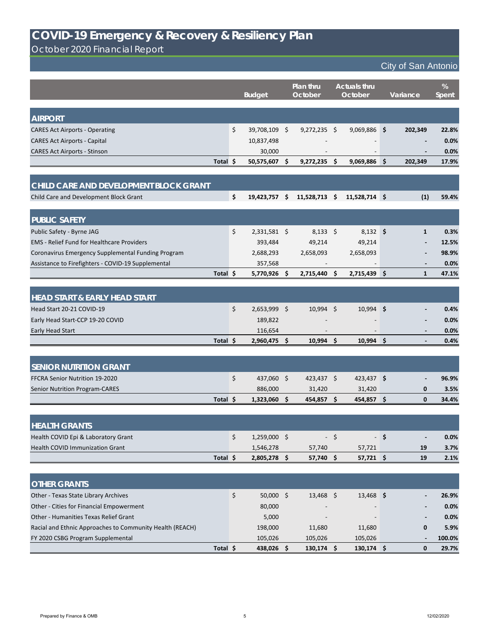October 2020 Financial Report

|                                                    |          |         | <b>Budget</b>  | Plan thru<br>October |                     | <b>Actuals thru</b><br>October |      | Variance     | %<br>Spent |
|----------------------------------------------------|----------|---------|----------------|----------------------|---------------------|--------------------------------|------|--------------|------------|
|                                                    |          |         |                |                      |                     |                                |      |              |            |
| <b>AIRPORT</b>                                     |          |         |                |                      |                     |                                |      |              |            |
| <b>CARES Act Airports - Operating</b>              |          | \$      | 39,708,109 \$  | $9,272,235$ \$       |                     | $9,069,886$ \$                 |      | 202,349      | 22.8%      |
| <b>CARES Act Airports - Capital</b>                |          |         | 10,837,498     |                      |                     |                                |      |              | 0.0%       |
| <b>CARES Act Airports - Stinson</b>                |          |         | 30,000         |                      |                     |                                |      |              | 0.0%       |
|                                                    | Total \$ |         | 50,575,607 \$  | $9,272,235$ \$       |                     | $9,069,886$ \$                 |      | 202,349      | 17.9%      |
|                                                    |          |         |                |                      |                     |                                |      |              |            |
| CHILD CARE AND DEVELOPMENT BLOCK GRANT             |          |         |                |                      |                     |                                |      |              |            |
| Child Care and Development Block Grant             |          | \$      | 19,423,757     | \$<br>11,528,713     | $\ddot{\bm{\zeta}}$ | $11,528,714$ \$                |      | (1)          | 59.4%      |
| <b>PUBLIC SAFETY</b>                               |          |         |                |                      |                     |                                |      |              |            |
| Public Safety - Byrne JAG                          |          | $\zeta$ | 2,331,581 \$   | $8,133$ \$           |                     | $8,132$ \$                     |      | $\mathbf{1}$ | 0.3%       |
| <b>EMS</b> - Relief Fund for Healthcare Providers  |          |         | 393,484        | 49,214               |                     | 49,214                         |      |              | 12.5%      |
| Coronavirus Emergency Supplemental Funding Program |          |         | 2,688,293      | 2,658,093            |                     | 2,658,093                      |      |              | 98.9%      |
| Assistance to Firefighters - COVID-19 Supplemental |          |         | 357,568        |                      |                     |                                |      |              | 0.0%       |
|                                                    | Total \$ |         | 5,770,926 \$   | 2,715,440            | $\zeta$             | 2,715,439 \$                   |      | $\mathbf{1}$ | 47.1%      |
|                                                    |          |         |                |                      |                     |                                |      |              |            |
| <b>HEAD START &amp; EARLY HEAD START</b>           |          |         |                |                      |                     |                                |      |              |            |
| Head Start 20-21 COVID-19                          |          | \$      | $2,653,999$ \$ | $10,994$ \$          |                     | $10,994$ \$                    |      |              | 0.4%       |
| Early Head Start-CCP 19-20 COVID                   |          |         | 189,822        |                      |                     |                                |      |              | 0.0%       |
| Early Head Start                                   |          |         | 116,654        |                      |                     |                                |      |              | 0.0%       |
|                                                    | Total \$ |         | 2,960,475 \$   | $10,994$ \$          |                     | $10,994$ \$                    |      |              | 0.4%       |
|                                                    |          |         |                |                      |                     |                                |      |              |            |
| <b>SENIOR NUTRITION GRANT</b>                      |          |         |                |                      |                     |                                |      |              |            |
| FFCRA Senior Nutrition 19-2020                     |          | $\zeta$ | 437,060 \$     | $423,437$ \$         |                     | $423,437$ \$                   |      |              | 96.9%      |
| <b>Senior Nutrition Program-CARES</b>              |          |         | 886,000        | 31,420               |                     | 31,420                         |      | 0            | 3.5%       |
|                                                    | Total \$ |         | $1,323,060$ \$ | 454,857 \$           |                     | $454,857$ \$                   |      | $\mathbf 0$  | 34.4%      |
|                                                    |          |         |                |                      |                     |                                |      |              |            |
| <b>HEALTH GRANTS</b>                               |          |         |                |                      |                     |                                |      |              |            |
| Health COVID Epi & Laboratory Grant                |          | \$      | 1,259,000 \$   |                      | $-$ \$              |                                | - \$ |              | 0.0%       |
| <b>Health COVID Immunization Grant</b>             |          |         | 1,546,278      | 57,740               |                     | 57,721                         |      | 19           | 3.7%       |
|                                                    | Total \$ |         | 2,805,278 \$   | 57,740               | $\varsigma$         | 57,721 \$                      |      | 19           | 2.1%       |
|                                                    |          |         |                |                      |                     |                                |      |              |            |
| <b>OTHER GRANTS</b>                                |          |         |                |                      |                     |                                |      |              |            |
| Other - Texas State Library Archives               |          | \$      | 50,000 \$      | $13,468$ \$          |                     | $13,468$ \$                    |      |              | 26.9%      |

| Total \$                                                 | 438,026 | 130,174                  | 130,174           | 29.7%   |
|----------------------------------------------------------|---------|--------------------------|-------------------|---------|
| FY 2020 CSBG Program Supplemental                        | 105,026 | 105,026                  | 105,026           | 100.0%  |
| Racial and Ethnic Approaches to Community Health (REACH) | 198,000 | 11,680                   | 11,680            | 5.9%    |
| Other - Humanities Texas Relief Grant                    | 5,000   | $\blacksquare$           | $\hbox{\small -}$ | $0.0\%$ |
| Other - Cities for Financial Empowerment                 | 80,000  | $\overline{\phantom{0}}$ |                   | $0.0\%$ |

### **COVID-19 Emergency & Recovery & Resiliency Plan**